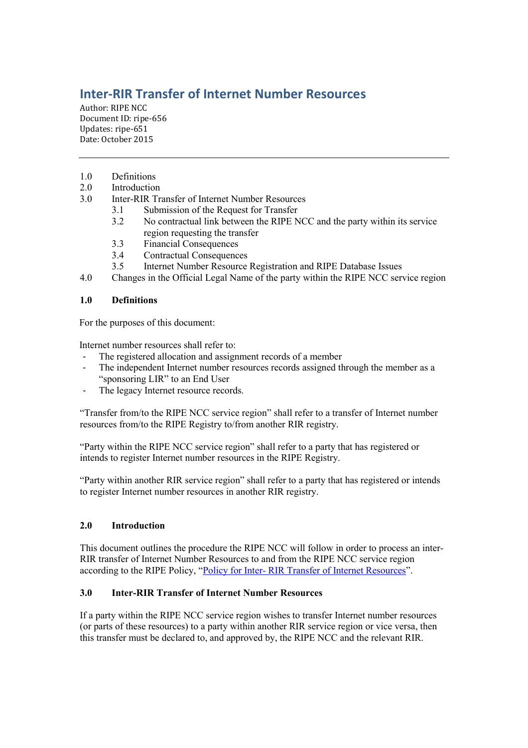# **Inter-RIR Transfer of Internet Number Resources**

Author: RIPE NCC Document ID: ripe-656 Updates: ripe-651 Date: October 2015

- 1.0 Definitions
- 2.0 Introduction<br>3.0 Inter-RIR Tr.
	- 3.0 Inter-RIR Transfer of Internet Number Resources
		- 3.1 Submission of the Request for Transfer<br>3.2 No contractual link between the RIPE N
		- 3.2 No contractual link between the RIPE NCC and the party within its service region requesting the transfer
		- 3.3 Financial Consequences
		- 3.4 Contractual Consequences
		- 3.5 Internet Number Resource Registration and RIPE Database Issues
- 4.0 Changes in the Official Legal Name of the party within the RIPE NCC service region

## **1.0 Definitions**

For the purposes of this document:

Internet number resources shall refer to:

- The registered allocation and assignment records of a member
- The independent Internet number resources records assigned through the member as a "sponsoring LIR" to an End User
- The legacy Internet resource records.

"Transfer from/to the RIPE NCC service region" shall refer to a transfer of Internet number resources from/to the RIPE Registry to/from another RIR registry.

"Party within the RIPE NCC service region" shall refer to a party that has registered or intends to register Internet number resources in the RIPE Registry.

"Party within another RIR service region" shall refer to a party that has registered or intends to register Internet number resources in another RIR registry.

## **2.0 Introduction**

This document outlines the procedure the RIPE NCC will follow in order to process an inter-RIR transfer of Internet Number Resources to and from the RIPE NCC service region according to the RIPE Policy, "Policy for Inter- [RIR Transfer of Internet Resources](https://www.ripe.net/publications/docs/inter-rir-transfers)".

## **3.0 Inter-RIR Transfer of Internet Number Resources**

If a party within the RIPE NCC service region wishes to transfer Internet number resources (or parts of these resources) to a party within another RIR service region or vice versa, then this transfer must be declared to, and approved by, the RIPE NCC and the relevant RIR.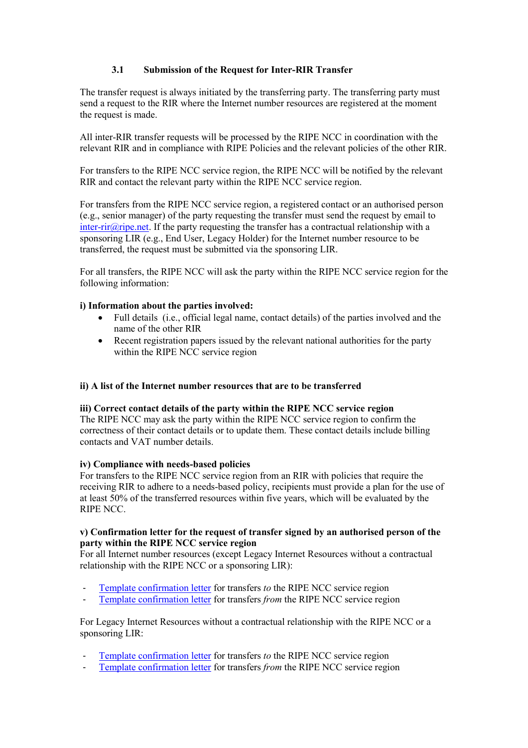## **3.1 Submission of the Request for Inter-RIR Transfer**

The transfer request is always initiated by the transferring party. The transferring party must send a request to the RIR where the Internet number resources are registered at the moment the request is made.

All inter-RIR transfer requests will be processed by the RIPE NCC in coordination with the relevant RIR and in compliance with RIPE Policies and the relevant policies of the other RIR.

For transfers to the RIPE NCC service region, the RIPE NCC will be notified by the relevant RIR and contact the relevant party within the RIPE NCC service region.

For transfers from the RIPE NCC service region, a registered contact or an authorised person (e.g., senior manager) of the party requesting the transfer must send the request by email to inter-rir $\hat{a}$  ripe.net. If the party requesting the transfer has a contractual relationship with a sponsoring LIR (e.g., End User, Legacy Holder) for the Internet number resource to be transferred, the request must be submitted via the sponsoring LIR.

For all transfers, the RIPE NCC will ask the party within the RIPE NCC service region for the following information:

#### **i) Information about the parties involved:**

- Full details (i.e., official legal name, contact details) of the parties involved and the name of the other RIR
- Recent registration papers issued by the relevant national authorities for the party within the RIPE NCC service region

#### **ii) A list of the Internet number resources that are to be transferred**

#### **iii) Correct contact details of the party within the RIPE NCC service region**

The RIPE NCC may ask the party within the RIPE NCC service region to confirm the correctness of their contact details or to update them. These contact details include billing contacts and VAT number details.

### **iv) Compliance with needs-based policies**

For transfers to the RIPE NCC service region from an RIR with policies that require the receiving RIR to adhere to a needs-based policy, recipients must provide a plan for the use of at least 50% of the transferred resources within five years, which will be evaluated by the RIPE NCC.

#### **v) Confirmation letter for the request of transfer signed by an authorised person of the party within the RIPE NCC service region**

For all Internet number resources (except Legacy Internet Resources without a contractual relationship with the RIPE NCC or a sponsoring LIR):

- [Template confirmation letter](https://www.ripe.net/manage-ips-and-asns/resource-transfers-and-mergers/transfers/inter-rir-transfers/inter-rir-transfer-documents/confirmation-of-transfer-to-the-ripe-ncc-service-region) for transfers *to* the RIPE NCC service region
- [Template confirmation letter](https://www.ripe.net/manage-ips-and-asns/resource-transfers-and-mergers/transfers/inter-rir-transfers/inter-rir-transfer-documents/confirmation-of-transfer-from-the-ripe-ncc-service-region) for transfers *from* the RIPE NCC service region

For Legacy Internet Resources without a contractual relationship with the RIPE NCC or a sponsoring LIR:

- [Template confirmation](https://www.ripe.net/manage-ips-and-asns/resource-transfers-and-mergers/transfers/inter-rir-transfers/inter-rir-transfer-documents/confirmation-of-transfer-to-the-ripe-ncc-service-region-legacy-resources-without-contract) letter for transfers *to* the RIPE NCC service region
- [Template confirmation letter](https://www.ripe.net/manage-ips-and-asns/resource-transfers-and-mergers/transfers/inter-rir-transfers/inter-rir-transfer-documents/confirmation-of-transfer-from-the-ripe-ncc-service-region-legacy-resources-without-contract) for transfers *from* the RIPE NCC service region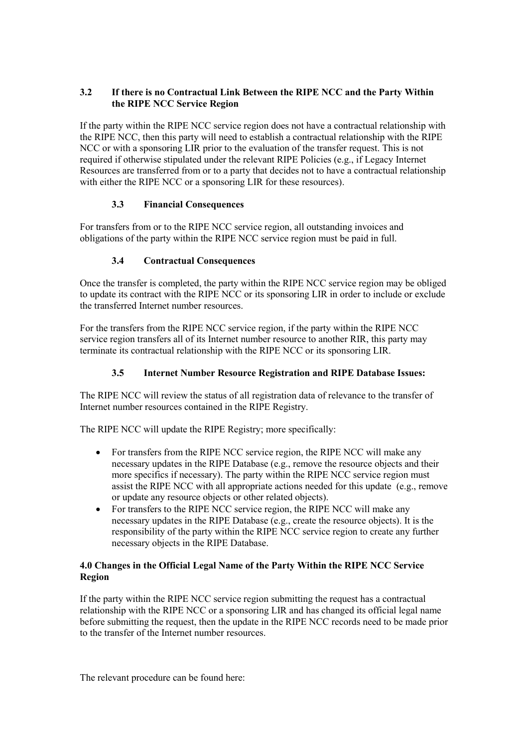## **3.2 If there is no Contractual Link Between the RIPE NCC and the Party Within the RIPE NCC Service Region**

If the party within the RIPE NCC service region does not have a contractual relationship with the RIPE NCC, then this party will need to establish a contractual relationship with the RIPE NCC or with a sponsoring LIR prior to the evaluation of the transfer request. This is not required if otherwise stipulated under the relevant RIPE Policies (e.g., if Legacy Internet Resources are transferred from or to a party that decides not to have a contractual relationship with either the RIPE NCC or a sponsoring LIR for these resources).

## **3.3 Financial Consequences**

For transfers from or to the RIPE NCC service region, all outstanding invoices and obligations of the party within the RIPE NCC service region must be paid in full.

## **3.4 Contractual Consequences**

Once the transfer is completed, the party within the RIPE NCC service region may be obliged to update its contract with the RIPE NCC or its sponsoring LIR in order to include or exclude the transferred Internet number resources.

For the transfers from the RIPE NCC service region, if the party within the RIPE NCC service region transfers all of its Internet number resource to another RIR, this party may terminate its contractual relationship with the RIPE NCC or its sponsoring LIR.

## **3.5 Internet Number Resource Registration and RIPE Database Issues:**

The RIPE NCC will review the status of all registration data of relevance to the transfer of Internet number resources contained in the RIPE Registry.

The RIPE NCC will update the RIPE Registry; more specifically:

- For transfers from the RIPE NCC service region, the RIPE NCC will make any necessary updates in the RIPE Database (e.g., remove the resource objects and their more specifics if necessary). The party within the RIPE NCC service region must assist the RIPE NCC with all appropriate actions needed for this update (e.g., remove or update any resource objects or other related objects).
- For transfers to the RIPE NCC service region, the RIPE NCC will make any necessary updates in the RIPE Database (e.g., create the resource objects). It is the responsibility of the party within the RIPE NCC service region to create any further necessary objects in the RIPE Database.

## **4.0 Changes in the Official Legal Name of the Party Within the RIPE NCC Service Region**

If the party within the RIPE NCC service region submitting the request has a contractual relationship with the RIPE NCC or a sponsoring LIR and has changed its official legal name before submitting the request, then the update in the RIPE NCC records need to be made prior to the transfer of the Internet number resources.